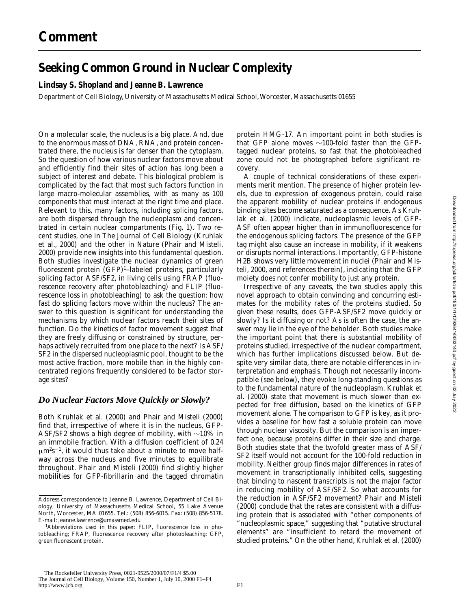# **Seeking Common Ground in Nuclear Complexity**

#### **Lindsay S. Shopland and Jeanne B. Lawrence**

Department of Cell Biology, University of Massachusetts Medical School, Worcester, Massachusetts 01655

On a molecular scale, the nucleus is a big place. And, due to the enormous mass of DNA, RNA, and protein concentrated there, the nucleus is far denser than the cytoplasm. So the question of how various nuclear factors move about and efficiently find their sites of action has long been a subject of interest and debate. This biological problem is complicated by the fact that most such factors function in large macro-molecular assemblies, with as many as 100 components that must interact at the right time and place. Relevant to this, many factors, including splicing factors, are both dispersed through the nucleoplasm and concentrated in certain nuclear compartments (Fig. 1). Two recent studies, one in *The Journal of Cell Biology* (Kruhlak et al., 2000) and the other in *Nature* (Phair and Misteli, 2000) provide new insights into this fundamental question. Both studies investigate the nuclear dynamics of green fluorescent protein (GFP)<sup>1</sup>-labeled proteins, particularly splicing factor ASF/SF2, in living cells using FRAP (fluorescence recovery after photobleaching) and FLIP (fluorescence loss in photobleaching) to ask the question: how fast do splicing factors move within the nucleus? The answer to this question is significant for understanding the mechanisms by which nuclear factors reach their sites of function. Do the kinetics of factor movement suggest that they are freely diffusing or constrained by structure, perhaps actively recruited from one place to the next? Is ASF/ SF2 in the dispersed nucleoplasmic pool, thought to be the most active fraction, more mobile than in the highly concentrated regions frequently considered to be factor storage sites?

### *Do Nuclear Factors Move Quickly or Slowly?*

Both Kruhlak et al. (2000) and Phair and Misteli (2000) find that, irrespective of where it is in the nucleus, GFP-ASF/SF2 shows a high degree of mobility, with  $\sim$ 10% in an immobile fraction. With a diffusion coefficient of 0.24  $\mu$ m<sup>2</sup>s<sup>-1</sup>, it would thus take about a minute to move halfway across the nucleus and five minutes to equilibrate throughout. Phair and Misteli (2000) find slightly higher mobilities for GFP-fibrillarin and the tagged chromatin protein HMG-17. An important point in both studies is that GFP alone moves  $\sim$ 100-fold faster than the GFPtagged nuclear proteins, so fast that the photobleached zone could not be photographed before significant recovery.

A couple of technical considerations of these experiments merit mention. The presence of higher protein levels, due to expression of exogenous protein, could raise the apparent mobility of nuclear proteins if endogenous binding sites become saturated as a consequence. As Kruhlak et al. (2000) indicate, nucleoplasmic levels of GFP-ASF often appear higher than in immunofluorescence for the endogenous splicing factors. The presence of the GFP tag might also cause an increase in mobility, if it weakens or disrupts normal interactions. Importantly, GFP-histone H2B shows very little movement in nuclei (Phair and Misteli, 2000, and references therein), indicating that the GFP moiety does not confer mobility to just any protein.

Irrespective of any caveats, the two studies apply this novel approach to obtain convincing and concurring estimates for the mobility rates of the proteins studied. So given these results, does GFP-ASF/SF2 move quickly or slowly? Is it diffusing or not? As is often the case, the answer may lie in the eye of the beholder. Both studies make the important point that there is substantial mobility of proteins studied, irrespective of the nuclear compartment, which has further implications discussed below. But despite very similar data, there are notable differences in interpretation and emphasis. Though not necessarily incompatible (see below), they evoke long-standing questions as to the fundamental nature of the nucleoplasm. Kruhlak et al. (2000) state that movement is much slower than expected for free diffusion, based on the kinetics of GFP movement alone. The comparison to GFP is key, as it provides a baseline for how fast a soluble protein can move through nuclear viscosity. But the comparison is an imperfect one, because proteins differ in their size and charge. Both studies state that the twofold greater mass of ASF/ SF2 itself would not account for the 100-fold reduction in mobility. Neither group finds major differences in rates of movement in transcriptionally inhibited cells, suggesting that binding to nascent transcripts is not the major factor in reducing mobility of ASF/SF2. So what accounts for the reduction in ASF/SF2 movement? Phair and Misteli (2000) conclude that the rates are consistent with a diffusing protein that is associated with "other components of "nucleoplasmic space," suggesting that "putative structural elements" are "insufficient to retard the movement of studied proteins." On the other hand, Kruhlak et al. (2000)

Address correspondence to Jeanne B. Lawrence, Department of Cell Biology, University of Massachusetts Medical School, 55 Lake Avenue North, Worcester, MA 01655. Tel.: (508) 856-6015. Fax: (508) 856-5178. E-mail: jeanne.lawrence@umassmed.edu

<sup>1</sup> *Abbreviations used in this paper:* FLIP, fluorescence loss in photobleaching; FRAP, fluorescence recovery after photobleaching; GFP, green fluorescent protein.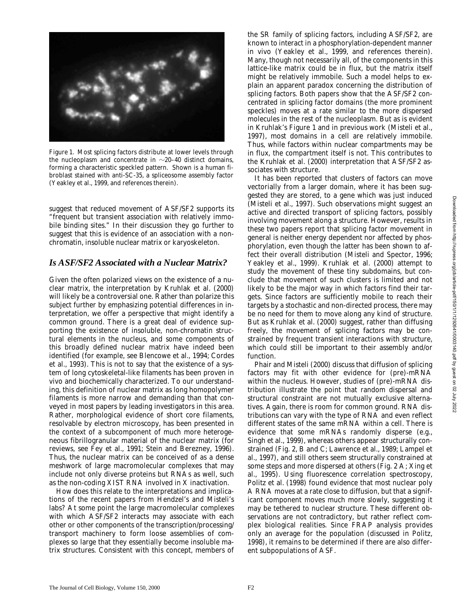

*Figure 1.* Most splicing factors distribute at lower levels through the nucleoplasm and concentrate in  $\sim$ 20–40 distinct domains, forming a characteristic speckled pattern. Shown is a human fibroblast stained with anti-SC-35, a spliceosome assembly factor (Yeakley et al., 1999, and references therein).

suggest that reduced movement of ASF/SF2 supports its "frequent but transient association with relatively immobile binding sites." In their discussion they go further to suggest that this is evidence of an association with a nonchromatin, insoluble nuclear matrix or karyoskeleton.

#### *Is ASF/SF2 Associated with a Nuclear Matrix?*

Given the often polarized views on the existence of a nuclear matrix, the interpretation by Kruhlak et al. (2000) will likely be a controversial one. Rather than polarize this subject further by emphasizing potential differences in interpretation, we offer a perspective that might identify a common ground. There is a great deal of evidence supporting the existence of insoluble, non-chromatin structural elements in the nucleus, and some components of this broadly defined nuclear matrix have indeed been identified (for example, see Blencowe et al., 1994; Cordes et al., 1993). This is not to say that the existence of a system of long cytoskeletal-like filaments has been proven in vivo and biochemically characterized. To our understanding, this definition of nuclear matrix as long homopolymer filaments is more narrow and demanding than that conveyed in most papers by leading investigators in this area. Rather, morphological evidence of short core filaments, resolvable by electron microscopy, has been presented in the context of a subcomponent of much more heterogeneous fibrillogranular material of the nuclear matrix (for reviews, see Fey et al., 1991; Stein and Berezney, 1996). Thus, the nuclear matrix can be conceived of as a dense meshwork of large macromolecular complexes that may include not only diverse proteins but RNAs as well, such as the non-coding XIST RNA involved in X inactivation.

How does this relate to the interpretations and implications of the recent papers from Hendzel's and Misteli's labs? At some point the large macromolecular complexes with which ASF/SF2 interacts may associate with each other or other components of the transcription/processing/ transport machinery to form loose assemblies of complexes so large that they essentially become insoluble matrix structures. Consistent with this concept, members of the SR family of splicing factors, including ASF/SF2, are known to interact in a phosphorylation-dependent manner in vivo (Yeakley et al., 1999, and references therein). Many, though not necessarily all, of the components in this lattice-like matrix could be in flux, but the matrix itself might be relatively immobile. Such a model helps to explain an apparent paradox concerning the distribution of splicing factors. Both papers show that the ASF/SF2 concentrated in splicing factor domains (the more prominent speckles) moves at a rate similar to the more dispersed molecules in the rest of the nucleoplasm. But as is evident in Kruhlak's Figure 1 and in previous work (Misteli et al., 1997), most domains in a cell are relatively immobile. Thus, while factors within nuclear compartments may be in flux, the compartment itself is not. This contributes to the Kruhlak et al. (2000) interpretation that ASF/SF2 associates with structure.

It has been reported that clusters of factors can move vectorially from a larger domain, where it has been suggested they are stored, to a gene which was just induced (Misteli et al., 1997). Such observations might suggest an active and directed transport of splicing factors, possibly involving movement along a structure. However, results in these two papers report that splicing factor movement in general is neither energy dependent nor affected by phosphorylation, even though the latter has been shown to affect their overall distribution (Misteli and Spector, 1996; Yeakley et al., 1999). Kruhlak et al. (2000) attempt to study the movement of these tiny subdomains, but conclude that movement of such clusters is limited and not likely to be the major way in which factors find their targets. Since factors are sufficiently mobile to reach their targets by a stochastic and non-directed process, there may be no need for them to move along any kind of structure. But as Kruhlak et al. (2000) suggest, rather than diffusing freely, the movement of splicing factors may be constrained by frequent transient interactions with structure, which could still be important to their assembly and/or function.

Phair and Misteli (2000) discuss that diffusion of splicing factors may fit with other evidence for (pre)-mRNA within the nucleus. However, studies of (pre)-mRNA distribution illustrate the point that random dispersal and structural constraint are not mutually exclusive alternatives. Again, there is room for common ground. RNA distributions can vary with the type of RNA and even reflect different states of the same mRNA within a cell. There is evidence that some mRNAs randomly disperse (e.g., Singh et al., 1999), whereas others appear structurally constrained (Fig. 2, B and C; Lawrence et al., 1989; Lampel et al., 1997), and still others seem structurally constrained at some steps and more dispersed at others (Fig. 2 A; Xing et al., 1995). Using fluorescence correlation spectroscopy, Politz et al. (1998) found evidence that most nuclear poly A RNA moves at a rate close to diffusion, but that a significant component moves much more slowly, suggesting it may be tethered to nuclear structure. These different observations are not contradictory, but rather reflect complex biological realities. Since FRAP analysis provides only an average for the population (discussed in Politz, 1998), it remains to be determined if there are also different subpopulations of ASF.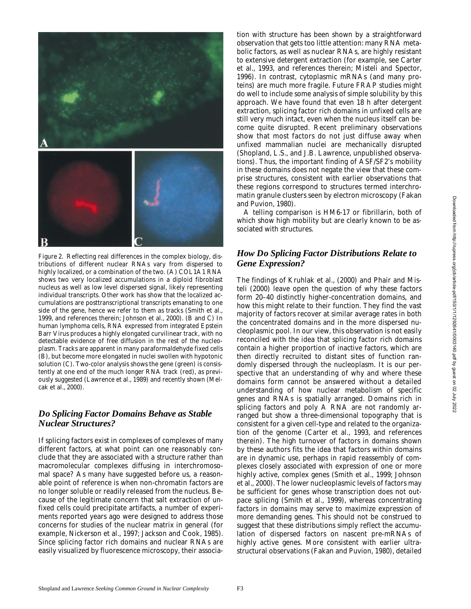

*Figure 2.* Reflecting real differences in the complex biology, distributions of different nuclear RNAs vary from dispersed to highly localized, or a combination of the two. (A) COL1A1 RNA shows two very localized accumulations in a diploid fibroblast nucleus as well as low level dispersed signal, likely representing individual transcripts. Other work has show that the localized accumulations are posttranscriptional transcripts emanating to one side of the gene, hence we refer to them as tracks (Smith et al., 1999, and references therein; Johnson et al., 2000). (B and C) In human lymphoma cells, RNA expressed from integrated Epstein Barr Virus produces a highly elongated curvilinear track, with no detectable evidence of free diffusion in the rest of the nucleoplasm. Tracks are apparent in many paraformaldehyde fixed cells (B), but become more elongated in nuclei swollen with hypotonic solution (C). Two-color analysis shows the gene (green) is consistently at one end of the much longer RNA track (red), as previously suggested (Lawrence et al., 1989) and recently shown (Melcak et al., 2000).

# *Do Splicing Factor Domains Behave as Stable Nuclear Structures?*

If splicing factors exist in complexes of complexes of many different factors, at what point can one reasonably conclude that they are associated with a structure rather than macromolecular complexes diffusing in interchromosomal space? As many have suggested before us, a reasonable point of reference is when non-chromatin factors are no longer soluble or readily released from the nucleus. Because of the legitimate concern that salt extraction of unfixed cells could precipitate artifacts, a number of experiments reported years ago were designed to address those concerns for studies of the nuclear matrix in general (for example, Nickerson et al., 1997; Jackson and Cook, 1985). Since splicing factor rich domains and nuclear RNAs are easily visualized by fluorescence microscopy, their association with structure has been shown by a straightforward observation that gets too little attention: many RNA metabolic factors, as well as nuclear RNAs, are highly resistant to extensive detergent extraction (for example, see Carter et al., 1993, and references therein; Misteli and Spector, 1996). In contrast, cytoplasmic mRNAs (and many proteins) are much more fragile. Future FRAP studies might do well to include some analysis of simple solubility by this approach. We have found that even 18 h after detergent extraction, splicing factor rich domains in unfixed cells are still very much intact, even when the nucleus itself can become quite disrupted. Recent preliminary observations show that most factors do not just diffuse away when unfixed mammalian nuclei are mechanically disrupted (Shopland, L.S., and J.B. Lawrence, unpublished observations). Thus, the important finding of ASF/SF2's mobility in these domains does not negate the view that these comprise structures, consistent with earlier observations that these regions correspond to structures termed interchromatin granule clusters seen by electron microscopy (Fakan and Puvion, 1980).

A telling comparison is HM6-17 or fibrillarin, both of which show high mobility but are clearly known to be associated with structures.

# *How Do Splicing Factor Distributions Relate to Gene Expression?*

The findings of Kruhlak et al., (2000) and Phair and Misteli (2000) leave open the question of why these factors form 20–40 distinctly higher-concentration domains, and how this might relate to their function. They find the vast majority of factors recover at similar average rates in both the concentrated domains and in the more dispersed nucleoplasmic pool. In our view, this observation is not easily reconciled with the idea that splicing factor rich domains contain a higher proportion of inactive factors, which are then directly recruited to distant sites of function randomly dispersed through the nucleoplasm. It is our perspective that an understanding of why and where these domains form cannot be answered without a detailed understanding of how nuclear metabolism of specific genes and RNAs is spatially arranged. Domains rich in splicing factors and poly A RNA are not randomly arranged but show a three-dimensional topography that is consistent for a given cell-type and related to the organization of the genome (Carter et al., 1993, and references therein). The high turnover of factors in domains shown by these authors fits the idea that factors within domains are in dynamic use, perhaps in rapid reassembly of complexes closely associated with expression of one or more highly active, complex genes (Smith et al., 1999; Johnson et al., 2000). The lower nucleoplasmic levels of factors may be sufficient for genes whose transcription does not outpace splicing (Smith et al., 1999), whereas concentrating factors in domains may serve to maximize expression of more demanding genes. This should not be construed to suggest that these distributions simply reflect the accumulation of dispersed factors on nascent pre-mRNAs of highly active genes. More consistent with earlier ultrastructural observations (Fakan and Puvion, 1980), detailed